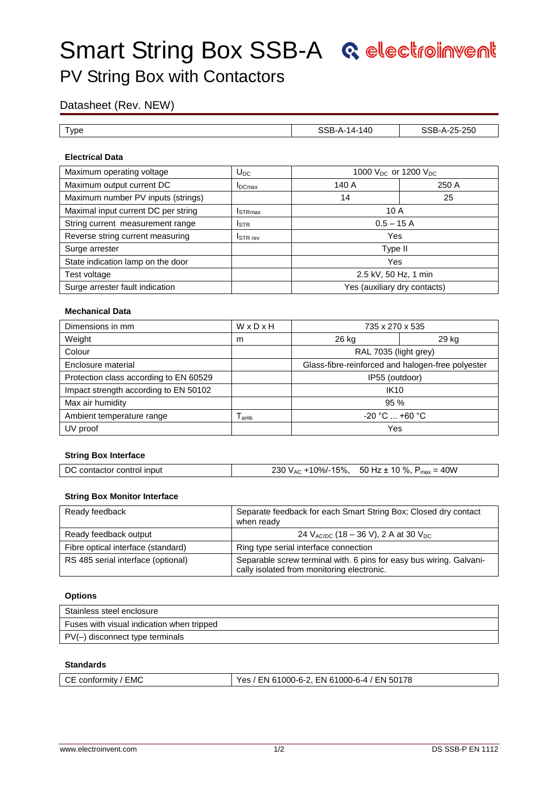# **Smart String Box SSB-A Relectrolle Went**

## PV String Box with Contactors

### Datasheet (Rev. NEW)

| l vpe | 140<br>.<br>14- | 25-250 |
|-------|-----------------|--------|

#### **Electrical Data**

| Maximum operating voltage           | $U_{DC}$                    | 1000 $V_{DC}$ or 1200 $V_{DC}$ |       |
|-------------------------------------|-----------------------------|--------------------------------|-------|
| Maximum output current DC           | $I_{DCmax}$                 | 140 A                          | 250 A |
| Maximum number PV inputs (strings)  |                             | 14                             | 25    |
| Maximal input current DC per string | <b>I</b> STR <sub>max</sub> | 10A                            |       |
| String current measurement range    | <b>I</b> STR                | $0.5 - 15A$                    |       |
| Reverse string current measuring    | <b>ISTR</b> rev             | Yes                            |       |
| Surge arrester                      |                             | Type II                        |       |
| State indication lamp on the door   |                             | Yes                            |       |
| Test voltage                        |                             | 2.5 kV, 50 Hz, 1 min           |       |
| Surge arrester fault indication     |                             | Yes (auxiliary dry contacts)   |       |

#### **Mechanical Data**

| Dimensions in mm                       | WxDxH | 735 x 270 x 535                                   |  |  |
|----------------------------------------|-------|---------------------------------------------------|--|--|
| Weight                                 | m     | 29 kg<br>26 kg                                    |  |  |
| Colour                                 |       | RAL 7035 (light grey)                             |  |  |
| Enclosure material                     |       | Glass-fibre-reinforced and halogen-free polyester |  |  |
| Protection class according to EN 60529 |       | IP55 (outdoor)                                    |  |  |
| Impact strength according to EN 50102  |       | <b>IK10</b>                                       |  |  |
| Max air humidity                       |       | 95%                                               |  |  |
| Ambient temperature range              | amb   | $-20 °C  +60 °C$                                  |  |  |
| UV proof                               |       | Yes                                               |  |  |

#### **String Box Interface**

| DC contactor control input | 230 V <sub>AC</sub> +10%/-15%, | 50 Hz $\pm$ 10 %, P <sub>max</sub> = 40W |  |
|----------------------------|--------------------------------|------------------------------------------|--|
|----------------------------|--------------------------------|------------------------------------------|--|

#### **String Box Monitor Interface**

| Ready feedback                     | Separate feedback for each Smart String Box; Closed dry contact<br>when ready                                     |
|------------------------------------|-------------------------------------------------------------------------------------------------------------------|
| Ready feedback output              | 24 $V_{AC/DC}$ (18 – 36 V), 2 A at 30 $V_{DC}$                                                                    |
| Fibre optical interface (standard) | Ring type serial interface connection                                                                             |
| RS 485 serial interface (optional) | Separable screw terminal with. 6 pins for easy bus wiring. Galvani-<br>cally isolated from monitoring electronic. |

#### **Options**

| Stainless steel enclosure                 |
|-------------------------------------------|
| Fuses with visual indication when tripped |
| PV(-) disconnect type terminals           |

#### **Standards**

| CE conformity / EMC |  |
|---------------------|--|
|---------------------|--|

Yes / EN 61000-6-2, EN 61000-6-4 / EN 50178